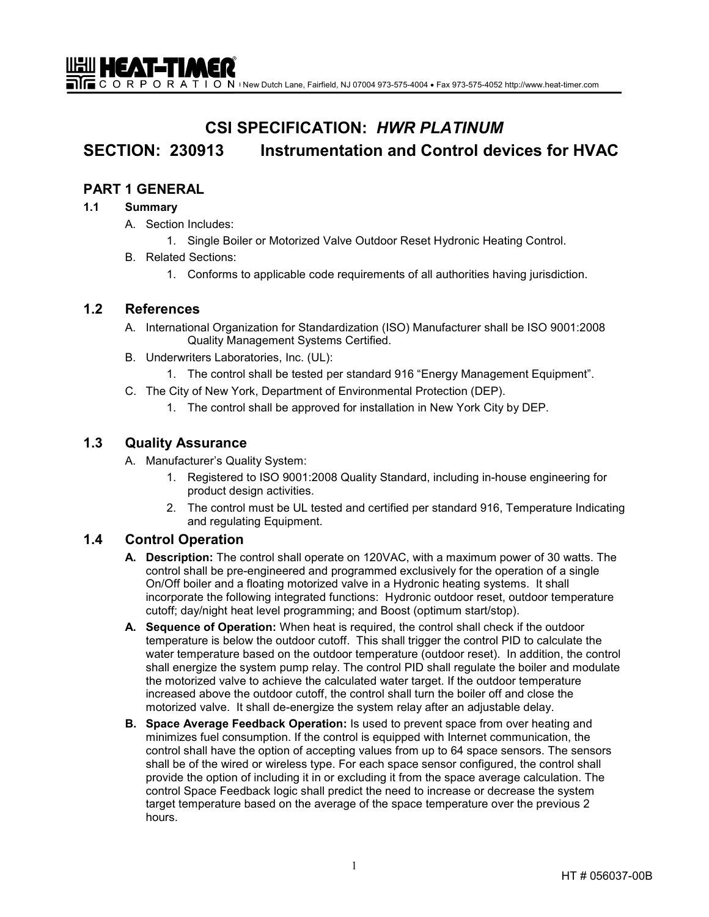$\blacksquare$  $\blacksquare$  C O R P O R A T I O N + New Dutch Lane, Fairfield, NJ 07004 973-575-4004 • Fax 973-575-4052 http://www.heat-timer.com

# **CSI SPECIFICATION:** *HWR PLATINUM*

# **SECTION: 230913 Instrumentation and Control devices for HVAC**

# **PART 1 GENERAL**

<u>UHI HEAT-TIMER</u>

### **1.1 Summary**

- A. Section Includes:
	- 1. Single Boiler or Motorized Valve Outdoor Reset Hydronic Heating Control.
- B. Related Sections:
	- 1. Conforms to applicable code requirements of all authorities having jurisdiction.

## **1.2 References**

- A. International Organization for Standardization (ISO) Manufacturer shall be ISO 9001:2008 Quality Management Systems Certified.
- B. Underwriters Laboratories, Inc. (UL):
	- 1. The control shall be tested per standard 916 "Energy Management Equipment".
- C. The City of New York, Department of Environmental Protection (DEP).
	- 1. The control shall be approved for installation in New York City by DEP.

## **1.3 Quality Assurance**

- A. Manufacturer's Quality System:
	- 1. Registered to ISO 9001:2008 Quality Standard, including in-house engineering for product design activities.
	- 2. The control must be UL tested and certified per standard 916, Temperature Indicating and regulating Equipment.

# **1.4 Control Operation**

- **A. Description:** The control shall operate on 120VAC, with a maximum power of 30 watts. The control shall be pre-engineered and programmed exclusively for the operation of a single On/Off boiler and a floating motorized valve in a Hydronic heating systems. It shall incorporate the following integrated functions: Hydronic outdoor reset, outdoor temperature cutoff; day/night heat level programming; and Boost (optimum start/stop).
- **A. Sequence of Operation:** When heat is required, the control shall check if the outdoor temperature is below the outdoor cutoff. This shall trigger the control PID to calculate the water temperature based on the outdoor temperature (outdoor reset). In addition, the control shall energize the system pump relay. The control PID shall regulate the boiler and modulate the motorized valve to achieve the calculated water target. If the outdoor temperature increased above the outdoor cutoff, the control shall turn the boiler off and close the motorized valve. It shall de-energize the system relay after an adjustable delay.
- **B. Space Average Feedback Operation:** Is used to prevent space from over heating and minimizes fuel consumption. If the control is equipped with Internet communication, the control shall have the option of accepting values from up to 64 space sensors. The sensors shall be of the wired or wireless type. For each space sensor configured, the control shall provide the option of including it in or excluding it from the space average calculation. The control Space Feedback logic shall predict the need to increase or decrease the system target temperature based on the average of the space temperature over the previous 2 hours.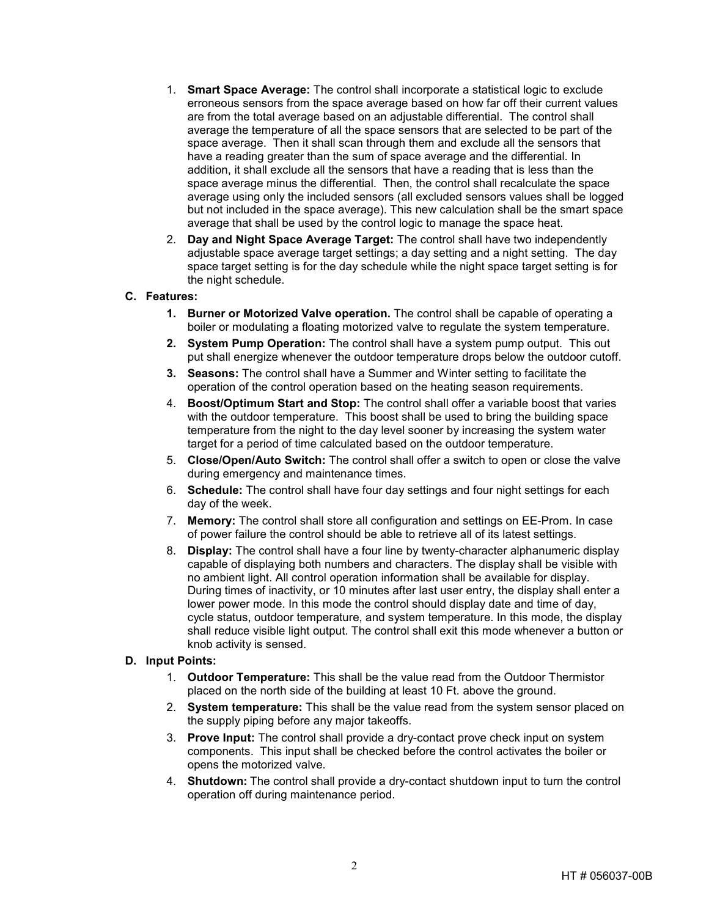- 1. **Smart Space Average:** The control shall incorporate a statistical logic to exclude erroneous sensors from the space average based on how far off their current values are from the total average based on an adjustable differential. The control shall average the temperature of all the space sensors that are selected to be part of the space average. Then it shall scan through them and exclude all the sensors that have a reading greater than the sum of space average and the differential. In addition, it shall exclude all the sensors that have a reading that is less than the space average minus the differential. Then, the control shall recalculate the space average using only the included sensors (all excluded sensors values shall be logged but not included in the space average). This new calculation shall be the smart space average that shall be used by the control logic to manage the space heat.
- 2. **Day and Night Space Average Target:** The control shall have two independently adjustable space average target settings; a day setting and a night setting. The day space target setting is for the day schedule while the night space target setting is for the night schedule.

#### **C. Features:**

- **1. Burner or Motorized Valve operation.** The control shall be capable of operating a boiler or modulating a floating motorized valve to regulate the system temperature.
- **2. System Pump Operation:** The control shall have a system pump output. This out put shall energize whenever the outdoor temperature drops below the outdoor cutoff.
- **3. Seasons:** The control shall have a Summer and Winter setting to facilitate the operation of the control operation based on the heating season requirements.
- 4. **Boost/Optimum Start and Stop:** The control shall offer a variable boost that varies with the outdoor temperature. This boost shall be used to bring the building space temperature from the night to the day level sooner by increasing the system water target for a period of time calculated based on the outdoor temperature.
- 5. **Close/Open/Auto Switch:** The control shall offer a switch to open or close the valve during emergency and maintenance times.
- 6. **Schedule:** The control shall have four day settings and four night settings for each day of the week.
- 7. **Memory:** The control shall store all configuration and settings on EE-Prom. In case of power failure the control should be able to retrieve all of its latest settings.
- 8. **Display:** The control shall have a four line by twenty-character alphanumeric display capable of displaying both numbers and characters. The display shall be visible with no ambient light. All control operation information shall be available for display. During times of inactivity, or 10 minutes after last user entry, the display shall enter a lower power mode. In this mode the control should display date and time of day, cycle status, outdoor temperature, and system temperature. In this mode, the display shall reduce visible light output. The control shall exit this mode whenever a button or knob activity is sensed.

#### **D. Input Points:**

- 1. **Outdoor Temperature:** This shall be the value read from the Outdoor Thermistor placed on the north side of the building at least 10 Ft. above the ground.
- 2. **System temperature:** This shall be the value read from the system sensor placed on the supply piping before any major takeoffs.
- 3. **Prove Input:** The control shall provide a dry-contact prove check input on system components. This input shall be checked before the control activates the boiler or opens the motorized valve.
- 4. **Shutdown:** The control shall provide a dry-contact shutdown input to turn the control operation off during maintenance period.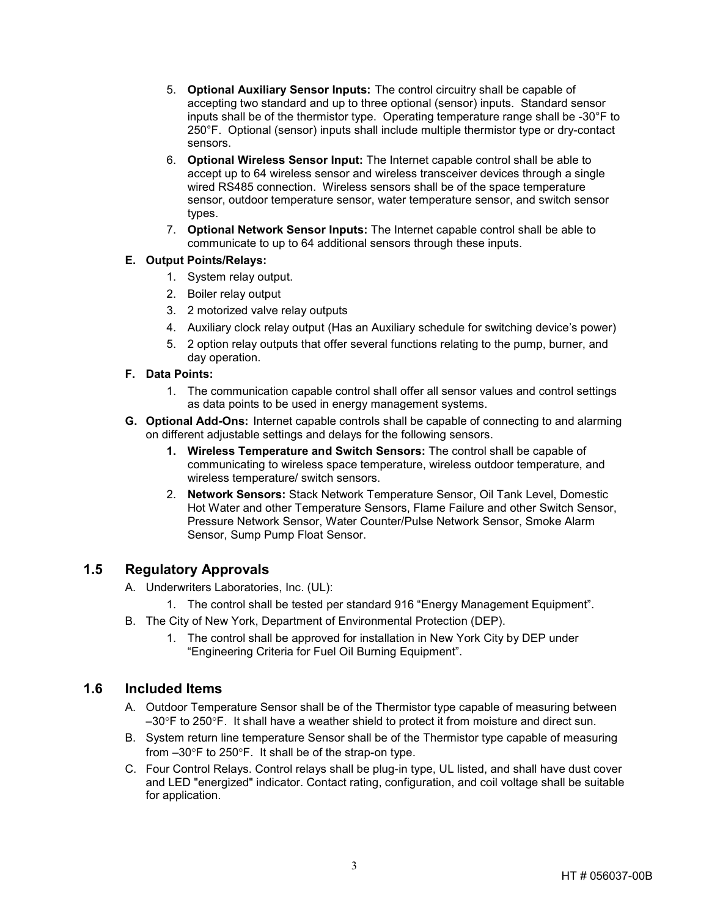- 5. **Optional Auxiliary Sensor Inputs:** The control circuitry shall be capable of accepting two standard and up to three optional (sensor) inputs. Standard sensor inputs shall be of the thermistor type. Operating temperature range shall be -30°F to 250°F. Optional (sensor) inputs shall include multiple thermistor type or dry-contact sensors.
- 6. **Optional Wireless Sensor Input:** The Internet capable control shall be able to accept up to 64 wireless sensor and wireless transceiver devices through a single wired RS485 connection. Wireless sensors shall be of the space temperature sensor, outdoor temperature sensor, water temperature sensor, and switch sensor types.
- 7. **Optional Network Sensor Inputs:** The Internet capable control shall be able to communicate to up to 64 additional sensors through these inputs.

#### **E. Output Points/Relays:**

- 1. System relay output.
- 2. Boiler relay output
- 3. 2 motorized valve relay outputs
- 4. Auxiliary clock relay output (Has an Auxiliary schedule for switching device's power)
- 5. 2 option relay outputs that offer several functions relating to the pump, burner, and day operation.

#### **F. Data Points:**

- 1. The communication capable control shall offer all sensor values and control settings as data points to be used in energy management systems.
- **G. Optional Add-Ons:** Internet capable controls shall be capable of connecting to and alarming on different adjustable settings and delays for the following sensors.
	- **1. Wireless Temperature and Switch Sensors:** The control shall be capable of communicating to wireless space temperature, wireless outdoor temperature, and wireless temperature/ switch sensors.
	- 2. **Network Sensors:** Stack Network Temperature Sensor, Oil Tank Level, Domestic Hot Water and other Temperature Sensors, Flame Failure and other Switch Sensor, Pressure Network Sensor, Water Counter/Pulse Network Sensor, Smoke Alarm Sensor, Sump Pump Float Sensor.

# **1.5 Regulatory Approvals**

- A. Underwriters Laboratories, Inc. (UL):
	- 1. The control shall be tested per standard 916 "Energy Management Equipment".
- B. The City of New York, Department of Environmental Protection (DEP).
	- 1. The control shall be approved for installation in New York City by DEP under "Engineering Criteria for Fuel Oil Burning Equipment".

## **1.6 Included Items**

- A. Outdoor Temperature Sensor shall be of the Thermistor type capable of measuring between  $-30^{\circ}$ F to 250°F. It shall have a weather shield to protect it from moisture and direct sun.
- B. System return line temperature Sensor shall be of the Thermistor type capable of measuring from –30°F to 250°F. It shall be of the strap-on type.
- C. Four Control Relays. Control relays shall be plug-in type, UL listed, and shall have dust cover and LED "energized" indicator. Contact rating, configuration, and coil voltage shall be suitable for application.